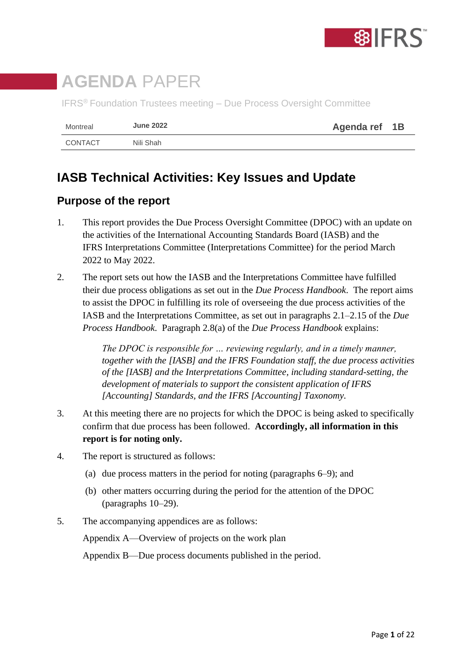

# **AGENDA** PAPER

IFRS® Foundation Trustees meeting – Due Process Oversight Committee

| Montreal | <b>June 2022</b> | Agenda ref 1B |  |
|----------|------------------|---------------|--|
| CONTACT  | Nili Shah        |               |  |

## **IASB Technical Activities: Key Issues and Update**

### **Purpose of the report**

- 1. This report provides the Due Process Oversight Committee (DPOC) with an update on the activities of the International Accounting Standards Board (IASB) and the IFRS Interpretations Committee (Interpretations Committee) for the period March 2022 to May 2022.
- 2. The report sets out how the IASB and the Interpretations Committee have fulfilled their due process obligations as set out in the *Due Process Handbook*. The report aims to assist the DPOC in fulfilling its role of overseeing the due process activities of the IASB and the Interpretations Committee, as set out in paragraphs 2.1–2.15 of the *Due Process Handbook*. Paragraph 2.8(a) of the *Due Process Handbook* explains:

*The DPOC is responsible for … reviewing regularly, and in a timely manner, together with the [IASB] and the IFRS Foundation staff, the due process activities of the [IASB] and the Interpretations Committee, including standard-setting, the development of materials to support the consistent application of IFRS [Accounting] Standards, and the IFRS [Accounting] Taxonomy.*

- 3. At this meeting there are no projects for which the DPOC is being asked to specifically confirm that due process has been followed. **Accordingly, all information in this report is for noting only.**
- 4. The report is structured as follows:
	- (a) due process matters in the period for noting (paragraphs 6–9); and
	- (b) other matters occurring during the period for the attention of the DPOC (paragraphs 10–29).
- 5. The accompanying appendices are as follows:

Appendix A—Overview of projects on the work plan

Appendix B—Due process documents published in the period.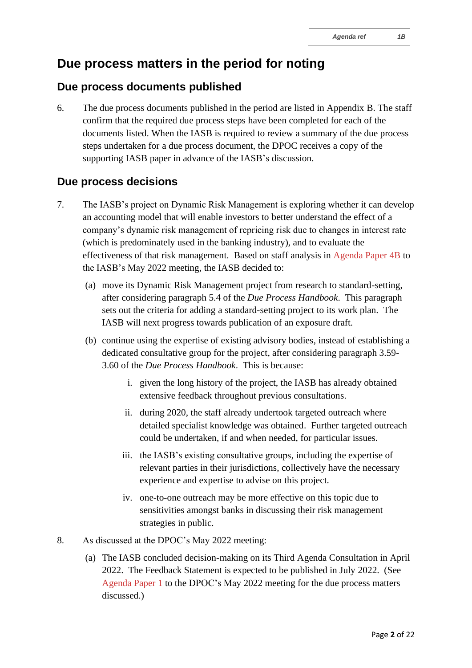## **Due process matters in the period for noting**

### **Due process documents published**

6. The due process documents published in the period are listed in Appendix B. The staff confirm that the required due process steps have been completed for each of the documents listed. When the IASB is required to review a summary of the due process steps undertaken for a due process document, the DPOC receives a copy of the supporting IASB paper in advance of the IASB's discussion.

### **Due process decisions**

- 7. The IASB's project on Dynamic Risk Management is exploring whether it can develop an accounting model that will enable investors to better understand the effect of a company's dynamic risk management of repricing risk due to changes in interest rate (which is predominately used in the banking industry), and to evaluate the effectiveness of that risk management. Based on staff analysis in [Agenda Paper 4B](https://www.ifrs.org/content/dam/ifrs/meetings/2022/may/iasb/ap4b-project-direction.pdf) to the IASB's May 2022 meeting, the IASB decided to:
	- (a) move its Dynamic Risk Management project from research to standard-setting, after considering paragraph 5.4 of the *Due Process Handbook*. This paragraph sets out the criteria for adding a standard-setting project to its work plan. The IASB will next progress towards publication of an exposure draft.
	- (b) continue using the expertise of existing advisory bodies, instead of establishing a dedicated consultative group for the project, after considering paragraph 3.59- 3.60 of the *Due Process Handbook*. This is because:
		- i. given the long history of the project, the IASB has already obtained extensive feedback throughout previous consultations.
		- ii. during 2020, the staff already undertook targeted outreach where detailed specialist knowledge was obtained. Further targeted outreach could be undertaken, if and when needed, for particular issues.
		- iii. the IASB's existing consultative groups, including the expertise of relevant parties in their jurisdictions, collectively have the necessary experience and expertise to advise on this project.
		- iv. one-to-one outreach may be more effective on this topic due to sensitivities amongst banks in discussing their risk management strategies in public.
- 8. As discussed at the DPOC's May 2022 meeting:
	- (a) The IASB concluded decision-making on its Third Agenda Consultation in April 2022. The Feedback Statement is expected to be published in July 2022. (See [Agenda Paper 1](https://www.ifrs.org/content/dam/ifrs/meetings/2022/may/dpoc/ap1-dpoc-agenda-consultation.pdf) to the DPOC's May 2022 meeting for the due process matters discussed.)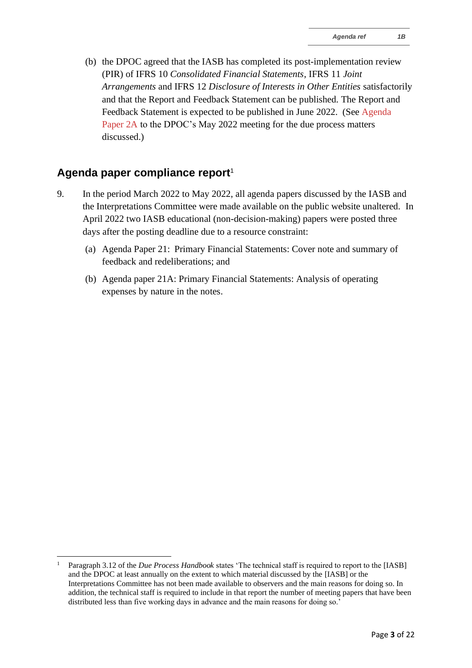(b) the DPOC agreed that the IASB has completed its post-implementation review (PIR) of IFRS 10 *Consolidated Financial Statements*, IFRS 11 *Joint Arrangements* and IFRS 12 *Disclosure of Interests in Other Entities* satisfactorily and that the Report and Feedback Statement can be published. The Report and Feedback Statement is expected to be published in June 2022. (See [Agenda](https://www.ifrs.org/content/dam/ifrs/meetings/2022/may/dpoc/ap2a-dpoc-pir-ifrs-10-11-12.pdf)  [Paper 2A](https://www.ifrs.org/content/dam/ifrs/meetings/2022/may/dpoc/ap2a-dpoc-pir-ifrs-10-11-12.pdf) to the DPOC's May 2022 meeting for the due process matters discussed.)

#### **Agenda paper compliance report**<sup>1</sup>

- 9. In the period March 2022 to May 2022, all agenda papers discussed by the IASB and the Interpretations Committee were made available on the public website unaltered. In April 2022 two IASB educational (non-decision-making) papers were posted three days after the posting deadline due to a resource constraint:
	- (a) Agenda Paper 21: Primary Financial Statements: Cover note and summary of feedback and redeliberations; and
	- (b) Agenda paper 21A: Primary Financial Statements: Analysis of operating expenses by nature in the notes.

<sup>1</sup> Paragraph 3.12 of the *Due Process Handbook* states 'The technical staff is required to report to the [IASB] and the DPOC at least annually on the extent to which material discussed by the [IASB] or the Interpretations Committee has not been made available to observers and the main reasons for doing so. In addition, the technical staff is required to include in that report the number of meeting papers that have been distributed less than five working days in advance and the main reasons for doing so.'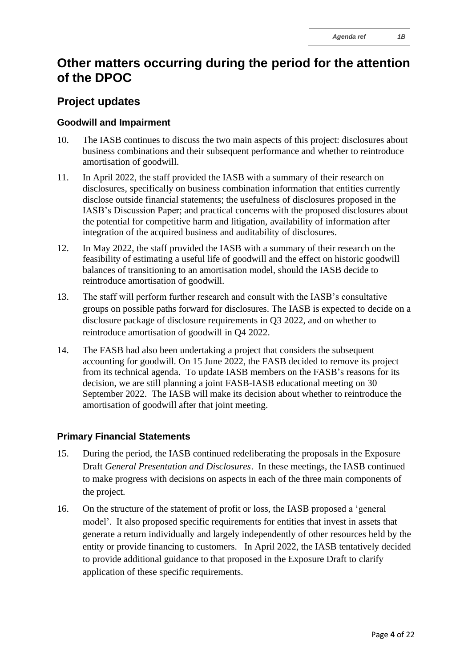## **Other matters occurring during the period for the attention of the DPOC**

### **Project updates**

#### **Goodwill and Impairment**

- 10. The IASB continues to discuss the two main aspects of this project: disclosures about business combinations and their subsequent performance and whether to reintroduce amortisation of goodwill.
- 11. In April 2022, the staff provided the IASB with a summary of their research on disclosures, specifically on business combination information that entities currently disclose outside financial statements; the usefulness of disclosures proposed in the IASB's Discussion Paper; and practical concerns with the proposed disclosures about the potential for competitive harm and litigation, availability of information after integration of the acquired business and auditability of disclosures.
- 12. In May 2022, the staff provided the IASB with a summary of their research on the feasibility of estimating a useful life of goodwill and the effect on historic goodwill balances of transitioning to an amortisation model, should the IASB decide to reintroduce amortisation of goodwill.
- 13. The staff will perform further research and consult with the IASB's consultative groups on possible paths forward for disclosures. The IASB is expected to decide on a disclosure package of disclosure requirements in Q3 2022, and on whether to reintroduce amortisation of goodwill in Q4 2022.
- 14. The FASB had also been undertaking a project that considers the subsequent accounting for goodwill. On 15 June 2022, the FASB decided to remove its project from its technical agenda. To update IASB members on the FASB's reasons for its decision, we are still planning a joint FASB-IASB educational meeting on 30 September 2022. The IASB will make its decision about whether to reintroduce the amortisation of goodwill after that joint meeting.

#### **Primary Financial Statements**

- 15. During the period, the IASB continued redeliberating the proposals in the Exposure Draft *General Presentation and Disclosures*. In these meetings, the IASB continued to make progress with decisions on aspects in each of the three main components of the project.
- 16. On the structure of the statement of profit or loss, the IASB proposed a 'general model'. It also proposed specific requirements for entities that invest in assets that generate a return individually and largely independently of other resources held by the entity or provide financing to customers. In April 2022, the IASB tentatively decided to provide additional guidance to that proposed in the Exposure Draft to clarify application of these specific requirements.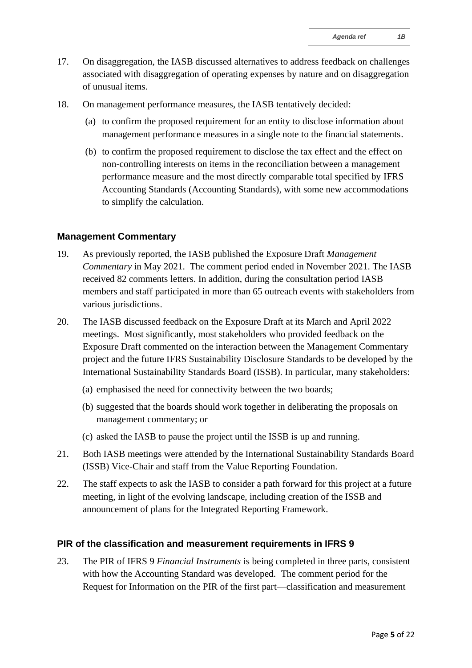- 17. On disaggregation, the IASB discussed alternatives to address feedback on challenges associated with disaggregation of operating expenses by nature and on disaggregation of unusual items.
- 18. On management performance measures, the IASB tentatively decided:
	- (a) to confirm the proposed requirement for an entity to disclose information about management performance measures in a single note to the financial statements.
	- (b) to confirm the proposed requirement to disclose the tax effect and the effect on non-controlling interests on items in the reconciliation between a management performance measure and the most directly comparable total specified by IFRS Accounting Standards (Accounting Standards), with some new accommodations to simplify the calculation.

#### **Management Commentary**

- 19. As previously reported, the IASB published the Exposure Draft *Management Commentary* in May 2021. The comment period ended in November 2021. The IASB received 82 comments letters. In addition, during the consultation period IASB members and staff participated in more than 65 outreach events with stakeholders from various jurisdictions.
- 20. The IASB discussed feedback on the Exposure Draft at its March and April 2022 meetings. Most significantly, most stakeholders who provided feedback on the Exposure Draft commented on the interaction between the Management Commentary project and the future IFRS Sustainability Disclosure Standards to be developed by the International Sustainability Standards Board (ISSB). In particular, many stakeholders:
	- (a) emphasised the need for connectivity between the two boards;
	- (b) suggested that the boards should work together in deliberating the proposals on management commentary; or
	- (c) asked the IASB to pause the project until the ISSB is up and running.
- 21. Both IASB meetings were attended by the International Sustainability Standards Board (ISSB) Vice-Chair and staff from the Value Reporting Foundation.
- 22. The staff expects to ask the IASB to consider a path forward for this project at a future meeting, in light of the evolving landscape, including creation of the ISSB and announcement of plans for the Integrated Reporting Framework.

#### **PIR of the classification and measurement requirements in IFRS 9**

23. The PIR of IFRS 9 *Financial Instruments* is being completed in three parts, consistent with how the Accounting Standard was developed. The comment period for the Request for Information on the PIR of the first part—classification and measurement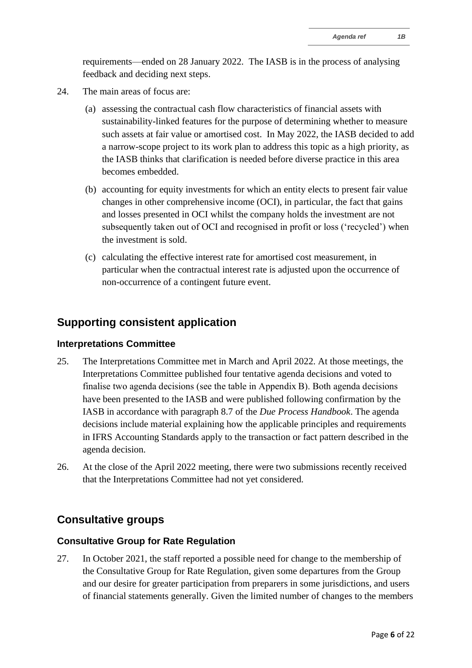requirements—ended on 28 January 2022. The IASB is in the process of analysing feedback and deciding next steps.

- 24. The main areas of focus are:
	- (a) assessing the contractual cash flow characteristics of financial assets with sustainability-linked features for the purpose of determining whether to measure such assets at fair value or amortised cost. In May 2022, the IASB decided to add a narrow-scope project to its work plan to address this topic as a high priority, as the IASB thinks that clarification is needed before diverse practice in this area becomes embedded.
	- (b) accounting for equity investments for which an entity elects to present fair value changes in other comprehensive income (OCI), in particular, the fact that gains and losses presented in OCI whilst the company holds the investment are not subsequently taken out of OCI and recognised in profit or loss ('recycled') when the investment is sold.
	- (c) calculating the effective interest rate for amortised cost measurement, in particular when the contractual interest rate is adjusted upon the occurrence of non-occurrence of a contingent future event.

#### **Supporting consistent application**

#### **Interpretations Committee**

- 25. The Interpretations Committee met in March and April 2022. At those meetings, the Interpretations Committee published four tentative agenda decisions and voted to finalise two agenda decisions (see the table in Appendix B). Both agenda decisions have been presented to the IASB and were published following confirmation by the IASB in accordance with paragraph 8.7 of the *Due Process Handbook*. The agenda decisions include material explaining how the applicable principles and requirements in IFRS Accounting Standards apply to the transaction or fact pattern described in the agenda decision.
- 26. At the close of the April 2022 meeting, there were two submissions recently received that the Interpretations Committee had not yet considered.

#### **Consultative groups**

#### **Consultative Group for Rate Regulation**

27. In October 2021, the staff reported a possible need for change to the membership of the Consultative Group for Rate Regulation, given some departures from the Group and our desire for greater participation from preparers in some jurisdictions, and users of financial statements generally. Given the limited number of changes to the members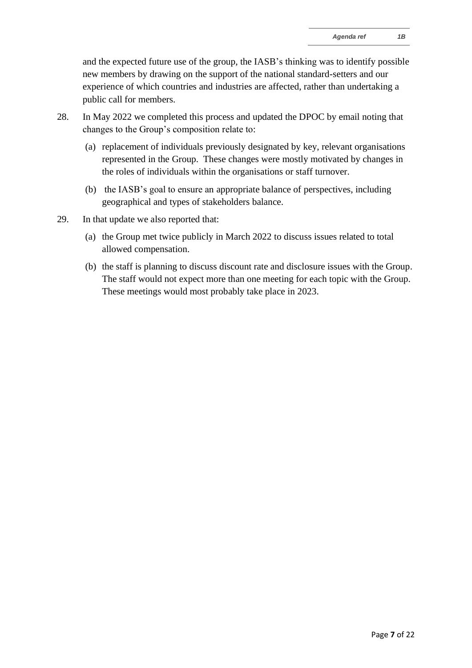and the expected future use of the group, the IASB's thinking was to identify possible new members by drawing on the support of the national standard-setters and our experience of which countries and industries are affected, rather than undertaking a public call for members.

- 28. In May 2022 we completed this process and updated the DPOC by email noting that changes to the Group's composition relate to:
	- (a) replacement of individuals previously designated by key, relevant organisations represented in the Group. These changes were mostly motivated by changes in the roles of individuals within the organisations or staff turnover.
	- (b) the IASB's goal to ensure an appropriate balance of perspectives, including geographical and types of stakeholders balance.
- 29. In that update we also reported that:
	- (a) the Group met twice publicly in March 2022 to discuss issues related to total allowed compensation.
	- (b) the staff is planning to discuss discount rate and disclosure issues with the Group. The staff would not expect more than one meeting for each topic with the Group. These meetings would most probably take place in 2023.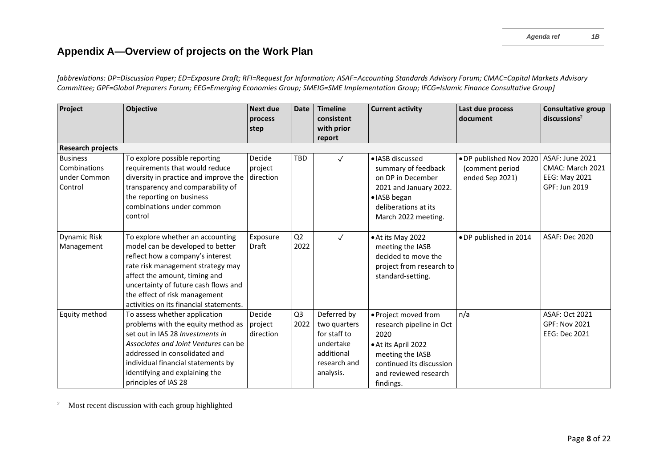*[abbreviations: DP=Discussion Paper; ED=Exposure Draft; RFI=Request for Information; ASAF=Accounting Standards Advisory Forum; CMAC=Capital Markets Advisory Committee; GPF=Global Preparers Forum; EEG=Emerging Economies Group; SMEIG=SME Implementation Group; IFCG=Islamic Finance Consultative Group]*

| Project                                                    | Objective                                                                                                                                                                                                                                                                                          | <b>Next due</b><br>process<br>step | <b>Date</b>            | <b>Timeline</b><br>consistent<br>with prior<br>report                                               | <b>Current activity</b>                                                                                                                                               | Last due process<br>document                                  | <b>Consultative group</b><br>discussions <sup>2</sup>                        |
|------------------------------------------------------------|----------------------------------------------------------------------------------------------------------------------------------------------------------------------------------------------------------------------------------------------------------------------------------------------------|------------------------------------|------------------------|-----------------------------------------------------------------------------------------------------|-----------------------------------------------------------------------------------------------------------------------------------------------------------------------|---------------------------------------------------------------|------------------------------------------------------------------------------|
| <b>Research projects</b>                                   |                                                                                                                                                                                                                                                                                                    |                                    |                        |                                                                                                     |                                                                                                                                                                       |                                                               |                                                                              |
| <b>Business</b><br>Combinations<br>under Common<br>Control | To explore possible reporting<br>requirements that would reduce<br>diversity in practice and improve the<br>transparency and comparability of<br>the reporting on business<br>combinations under common<br>control                                                                                 | Decide<br>project<br>direction     | TBD                    | $\checkmark$                                                                                        | · IASB discussed<br>summary of feedback<br>on DP in December<br>2021 and January 2022.<br>· IASB began<br>deliberations at its<br>March 2022 meeting.                 | . DP published Nov 2020<br>(comment period<br>ended Sep 2021) | ASAF: June 2021<br>CMAC: March 2021<br><b>EEG: May 2021</b><br>GPF: Jun 2019 |
| <b>Dynamic Risk</b><br>Management                          | To explore whether an accounting<br>model can be developed to better<br>reflect how a company's interest<br>rate risk management strategy may<br>affect the amount, timing and<br>uncertainty of future cash flows and<br>the effect of risk management<br>activities on its financial statements. | Exposure<br>Draft                  | Q2<br>2022             | $\checkmark$                                                                                        | • At its May 2022<br>meeting the IASB<br>decided to move the<br>project from research to<br>standard-setting.                                                         | · DP published in 2014                                        | ASAF: Dec 2020                                                               |
| Equity method                                              | To assess whether application<br>problems with the equity method as<br>set out in IAS 28 Investments in<br>Associates and Joint Ventures can be<br>addressed in consolidated and<br>individual financial statements by<br>identifying and explaining the<br>principles of IAS 28                   | Decide<br>project<br>direction     | Q <sub>3</sub><br>2022 | Deferred by<br>two quarters<br>for staff to<br>undertake<br>additional<br>research and<br>analysis. | · Project moved from<br>research pipeline in Oct<br>2020<br>• At its April 2022<br>meeting the IASB<br>continued its discussion<br>and reviewed research<br>findings. | n/a                                                           | <b>ASAF: Oct 2021</b><br>GPF: Nov 2021<br><b>EEG: Dec 2021</b>               |

<sup>2</sup> Most recent discussion with each group highlighted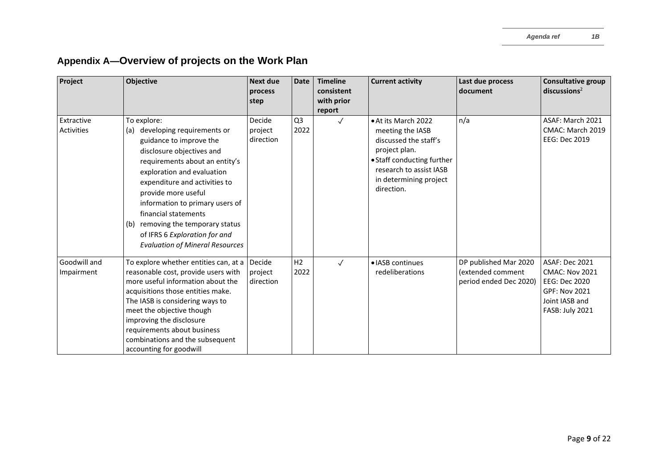| Project                    | Objective                                                                                                                                                                                                                                                                                                                                                                                                   | <b>Next due</b><br>process<br>step | <b>Date</b>            | <b>Timeline</b><br>consistent<br>with prior | <b>Current activity</b>                                                                                                                                                            | Last due process<br>document                                         | <b>Consultative group</b><br>discusions <sup>2</sup>                                                                         |
|----------------------------|-------------------------------------------------------------------------------------------------------------------------------------------------------------------------------------------------------------------------------------------------------------------------------------------------------------------------------------------------------------------------------------------------------------|------------------------------------|------------------------|---------------------------------------------|------------------------------------------------------------------------------------------------------------------------------------------------------------------------------------|----------------------------------------------------------------------|------------------------------------------------------------------------------------------------------------------------------|
|                            |                                                                                                                                                                                                                                                                                                                                                                                                             |                                    |                        | report                                      |                                                                                                                                                                                    |                                                                      |                                                                                                                              |
| Extractive<br>Activities   | To explore:<br>developing requirements or<br>(a)<br>guidance to improve the<br>disclosure objectives and<br>requirements about an entity's<br>exploration and evaluation<br>expenditure and activities to<br>provide more useful<br>information to primary users of<br>financial statements<br>(b) removing the temporary status<br>of IFRS 6 Exploration for and<br><b>Evaluation of Mineral Resources</b> | Decide<br>project<br>direction     | Q <sub>3</sub><br>2022 | $\checkmark$                                | • At its March 2022<br>meeting the IASB<br>discussed the staff's<br>project plan.<br>• Staff conducting further<br>research to assist IASB<br>in determining project<br>direction. | n/a                                                                  | ASAF: March 2021<br>CMAC: March 2019<br>EEG: Dec 2019                                                                        |
| Goodwill and<br>Impairment | To explore whether entities can, at a<br>reasonable cost, provide users with<br>more useful information about the<br>acquisitions those entities make.<br>The IASB is considering ways to<br>meet the objective though<br>improving the disclosure<br>requirements about business<br>combinations and the subsequent<br>accounting for goodwill                                                             | Decide<br>project<br>direction     | H <sub>2</sub><br>2022 | $\checkmark$                                | · IASB continues<br>redeliberations                                                                                                                                                | DP published Mar 2020<br>(extended comment<br>period ended Dec 2020) | <b>ASAF: Dec 2021</b><br><b>CMAC: Nov 2021</b><br>EEG: Dec 2020<br><b>GPF: Nov 2021</b><br>Joint IASB and<br>FASB: July 2021 |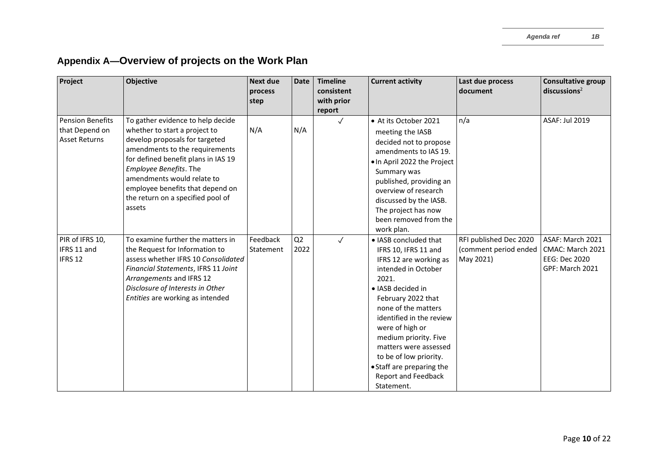| Project                                                           | <b>Objective</b>                                                                                                                                                                                                                                                                                                         | Next due<br>process<br>step | <b>Date</b> | <b>Timeline</b><br>consistent<br>with prior<br>report | <b>Current activity</b>                                                                                                                                                                                                                                                                                                                                                       | Last due process<br>document                                 | <b>Consultative group</b><br>discussions <sup>2</sup>                    |
|-------------------------------------------------------------------|--------------------------------------------------------------------------------------------------------------------------------------------------------------------------------------------------------------------------------------------------------------------------------------------------------------------------|-----------------------------|-------------|-------------------------------------------------------|-------------------------------------------------------------------------------------------------------------------------------------------------------------------------------------------------------------------------------------------------------------------------------------------------------------------------------------------------------------------------------|--------------------------------------------------------------|--------------------------------------------------------------------------|
| <b>Pension Benefits</b><br>that Depend on<br><b>Asset Returns</b> | To gather evidence to help decide<br>whether to start a project to<br>develop proposals for targeted<br>amendments to the requirements<br>for defined benefit plans in IAS 19<br>Employee Benefits. The<br>amendments would relate to<br>employee benefits that depend on<br>the return on a specified pool of<br>assets | N/A                         | N/A         | $\checkmark$                                          | • At its October 2021<br>meeting the IASB<br>decided not to propose<br>amendments to IAS 19.<br>. In April 2022 the Project<br>Summary was<br>published, providing an<br>overview of research<br>discussed by the IASB.<br>The project has now<br>been removed from the<br>work plan.                                                                                         | n/a                                                          | <b>ASAF: Jul 2019</b>                                                    |
| PIR of IFRS 10,<br>IFRS 11 and<br>IFRS 12                         | To examine further the matters in<br>the Request for Information to<br>assess whether IFRS 10 Consolidated<br>Financial Statements, IFRS 11 Joint<br>Arrangements and IFRS 12<br>Disclosure of Interests in Other<br>Entities are working as intended                                                                    | Feedback<br>Statement       | Q2<br>2022  | $\checkmark$                                          | · IASB concluded that<br>IFRS 10, IFRS 11 and<br>IFRS 12 are working as<br>intended in October<br>2021.<br>• IASB decided in<br>February 2022 that<br>none of the matters<br>identified in the review<br>were of high or<br>medium priority. Five<br>matters were assessed<br>to be of low priority.<br>• Staff are preparing the<br><b>Report and Feedback</b><br>Statement. | RFI published Dec 2020<br>(comment period ended<br>May 2021) | ASAF: March 2021<br>CMAC: March 2021<br>EEG: Dec 2020<br>GPF: March 2021 |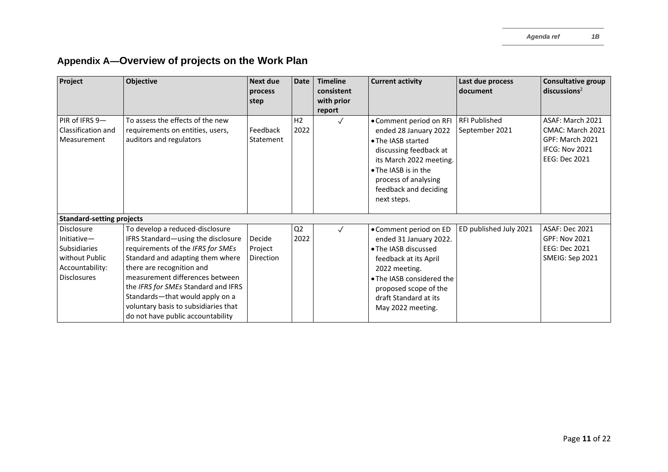| Project                                                                                                         | <b>Objective</b>                                                                                                                                                                                                                                                                                                                                                      | <b>Next due</b><br>process            | <b>Date</b>            | <b>Timeline</b><br>consistent | <b>Current activity</b>                                                                                                                                                                                                | Last due process<br>document           | <b>Consultative group</b><br>discussions <sup>2</sup>                                             |
|-----------------------------------------------------------------------------------------------------------------|-----------------------------------------------------------------------------------------------------------------------------------------------------------------------------------------------------------------------------------------------------------------------------------------------------------------------------------------------------------------------|---------------------------------------|------------------------|-------------------------------|------------------------------------------------------------------------------------------------------------------------------------------------------------------------------------------------------------------------|----------------------------------------|---------------------------------------------------------------------------------------------------|
|                                                                                                                 |                                                                                                                                                                                                                                                                                                                                                                       | step                                  |                        | with prior                    |                                                                                                                                                                                                                        |                                        |                                                                                                   |
| PIR of IFRS 9-<br>Classification and<br>Measurement                                                             | To assess the effects of the new<br>requirements on entities, users,<br>auditors and regulators                                                                                                                                                                                                                                                                       | Feedback<br>Statement                 | H <sub>2</sub><br>2022 | report<br>$\checkmark$        | • Comment period on RFI<br>ended 28 January 2022<br>• The IASB started<br>discussing feedback at<br>its March 2022 meeting.<br>• The IASB is in the<br>process of analysing<br>feedback and deciding<br>next steps.    | <b>RFI Published</b><br>September 2021 | ASAF: March 2021<br>CMAC: March 2021<br>GPF: March 2021<br><b>IFCG: Nov 2021</b><br>EEG: Dec 2021 |
| <b>Standard-setting projects</b>                                                                                |                                                                                                                                                                                                                                                                                                                                                                       |                                       |                        |                               |                                                                                                                                                                                                                        |                                        |                                                                                                   |
| <b>Disclosure</b><br>Initiate<br><b>Subsidiaries</b><br>without Public<br>Accountability:<br><b>Disclosures</b> | To develop a reduced-disclosure<br>IFRS Standard-using the disclosure<br>requirements of the IFRS for SMEs<br>Standard and adapting them where<br>there are recognition and<br>measurement differences between<br>the IFRS for SMEs Standard and IFRS<br>Standards-that would apply on a<br>voluntary basis to subsidiaries that<br>do not have public accountability | Decide<br>Project<br><b>Direction</b> | Q <sub>2</sub><br>2022 | $\checkmark$                  | • Comment period on ED<br>ended 31 January 2022.<br>• The IASB discussed<br>feedback at its April<br>2022 meeting.<br>• The IASB considered the<br>proposed scope of the<br>draft Standard at its<br>May 2022 meeting. | ED published July 2021                 | <b>ASAF: Dec 2021</b><br><b>GPF: Nov 2021</b><br><b>EEG: Dec 2021</b><br>SMEIG: Sep 2021          |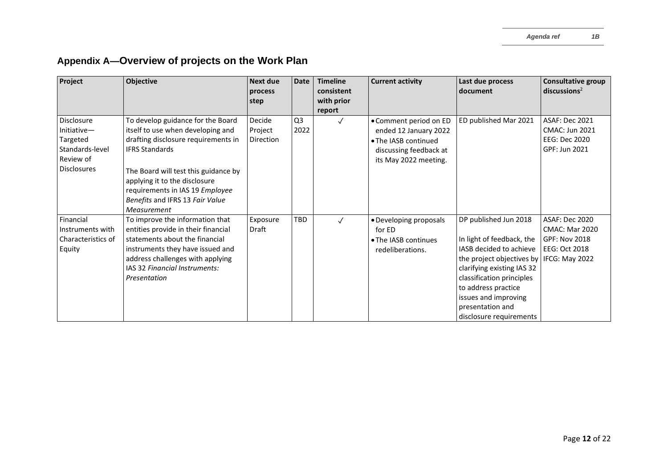| Project                                                                                            | Objective                                                                                                                                                                                                                                                                                            | <b>Next due</b><br>process            | <b>Date</b>            | <b>Timeline</b><br>consistent | <b>Current activity</b>                                                                                                    | Last due process<br>document                                                                                                                                                                                                                                        | <b>Consultative group</b><br>discusions <sup>2</sup>                                               |
|----------------------------------------------------------------------------------------------------|------------------------------------------------------------------------------------------------------------------------------------------------------------------------------------------------------------------------------------------------------------------------------------------------------|---------------------------------------|------------------------|-------------------------------|----------------------------------------------------------------------------------------------------------------------------|---------------------------------------------------------------------------------------------------------------------------------------------------------------------------------------------------------------------------------------------------------------------|----------------------------------------------------------------------------------------------------|
|                                                                                                    |                                                                                                                                                                                                                                                                                                      | step                                  |                        | with prior<br>report          |                                                                                                                            |                                                                                                                                                                                                                                                                     |                                                                                                    |
| <b>Disclosure</b><br>Initiative-<br>Targeted<br>Standards-level<br>Review of<br><b>Disclosures</b> | To develop guidance for the Board<br>itself to use when developing and<br>drafting disclosure requirements in<br><b>IFRS Standards</b><br>The Board will test this guidance by<br>applying it to the disclosure<br>requirements in IAS 19 Employee<br>Benefits and IFRS 13 Fair Value<br>Measurement | Decide<br>Project<br><b>Direction</b> | Q <sub>3</sub><br>2022 | $\checkmark$                  | • Comment period on ED<br>ended 12 January 2022<br>• The IASB continued<br>discussing feedback at<br>its May 2022 meeting. | ED published Mar 2021                                                                                                                                                                                                                                               | <b>ASAF: Dec 2021</b><br><b>CMAC: Jun 2021</b><br>EEG: Dec 2020<br>GPF: Jun 2021                   |
| Financial<br>Instruments with<br>Characteristics of<br>Equity                                      | To improve the information that<br>entities provide in their financial<br>statements about the financial<br>instruments they have issued and<br>address challenges with applying<br>IAS 32 Financial Instruments:<br>Presentation                                                                    | Exposure<br>Draft                     | TBD                    | $\checkmark$                  | • Developing proposals<br>for ED<br>• The IASB continues<br>redeliberations.                                               | DP published Jun 2018<br>In light of feedback, the<br>IASB decided to achieve<br>the project objectives by<br>clarifying existing IAS 32<br>classification principles<br>to address practice<br>issues and improving<br>presentation and<br>disclosure requirements | ASAF: Dec 2020<br><b>CMAC: Mar 2020</b><br><b>GPF: Nov 2018</b><br>EEG: Oct 2018<br>IFCG: May 2022 |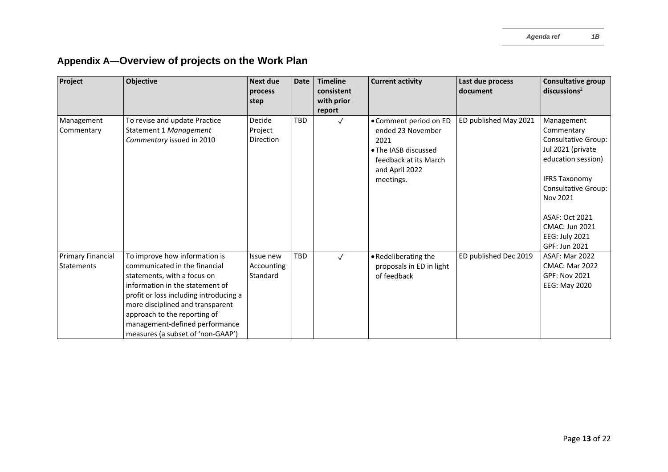| Project                                       | <b>Objective</b>                                                                                                                                                                                                                                                                                                      | Next due<br>process<br>step           | <b>Date</b> | <b>Timeline</b><br>consistent<br>with prior<br>report | <b>Current activity</b>                                                                                                             | Last due process<br>document | <b>Consultative group</b><br>discussions <sup>2</sup>                                                                                                                                                                                                    |
|-----------------------------------------------|-----------------------------------------------------------------------------------------------------------------------------------------------------------------------------------------------------------------------------------------------------------------------------------------------------------------------|---------------------------------------|-------------|-------------------------------------------------------|-------------------------------------------------------------------------------------------------------------------------------------|------------------------------|----------------------------------------------------------------------------------------------------------------------------------------------------------------------------------------------------------------------------------------------------------|
| Management<br>Commentary                      | To revise and update Practice<br>Statement 1 Management<br>Commentary issued in 2010                                                                                                                                                                                                                                  | Decide<br>Project<br><b>Direction</b> | <b>TBD</b>  | $\checkmark$                                          | • Comment period on ED<br>ended 23 November<br>2021<br>• The IASB discussed<br>feedback at its March<br>and April 2022<br>meetings. | ED published May 2021        | Management<br>Commentary<br><b>Consultative Group:</b><br>Jul 2021 (private<br>education session)<br><b>IFRS Taxonomy</b><br><b>Consultative Group:</b><br>Nov 2021<br>ASAF: Oct 2021<br><b>CMAC: Jun 2021</b><br><b>EEG: July 2021</b><br>GPF: Jun 2021 |
| <b>Primary Financial</b><br><b>Statements</b> | To improve how information is<br>communicated in the financial<br>statements, with a focus on<br>information in the statement of<br>profit or loss including introducing a<br>more disciplined and transparent<br>approach to the reporting of<br>management-defined performance<br>measures (a subset of 'non-GAAP') | Issue new<br>Accounting<br>Standard   | <b>TBD</b>  | $\checkmark$                                          | • Redeliberating the<br>proposals in ED in light<br>of feedback                                                                     | ED published Dec 2019        | <b>ASAF: Mar 2022</b><br><b>CMAC: Mar 2022</b><br><b>GPF: Nov 2021</b><br><b>EEG: May 2020</b>                                                                                                                                                           |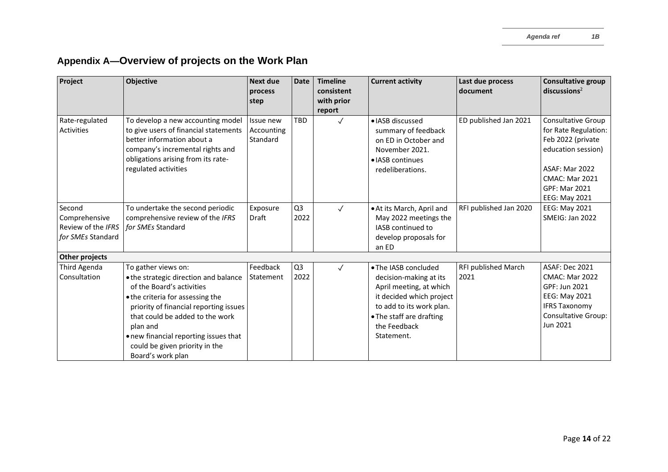| Project                                                            | Objective                                                                                                                                                                                                                                                                                                              | <b>Next due</b><br>process<br>step  | <b>Date</b>            | <b>Timeline</b><br>consistent<br>with prior | <b>Current activity</b>                                                                                                                                                                     | Last due process<br>document | <b>Consultative group</b><br>discussions <sup>2</sup>                                                                                                                            |
|--------------------------------------------------------------------|------------------------------------------------------------------------------------------------------------------------------------------------------------------------------------------------------------------------------------------------------------------------------------------------------------------------|-------------------------------------|------------------------|---------------------------------------------|---------------------------------------------------------------------------------------------------------------------------------------------------------------------------------------------|------------------------------|----------------------------------------------------------------------------------------------------------------------------------------------------------------------------------|
|                                                                    |                                                                                                                                                                                                                                                                                                                        |                                     |                        | report                                      |                                                                                                                                                                                             |                              |                                                                                                                                                                                  |
| Rate-regulated<br><b>Activities</b>                                | To develop a new accounting model<br>to give users of financial statements<br>better information about a<br>company's incremental rights and<br>obligations arising from its rate-<br>regulated activities                                                                                                             | Issue new<br>Accounting<br>Standard | <b>TBD</b>             | $\checkmark$                                | · IASB discussed<br>summary of feedback<br>on ED in October and<br>November 2021.<br>• IASB continues<br>redeliberations.                                                                   | ED published Jan 2021        | Consultative Group<br>for Rate Regulation:<br>Feb 2022 (private<br>education session)<br><b>ASAF: Mar 2022</b><br><b>CMAC: Mar 2021</b><br><b>GPF: Mar 2021</b><br>EEG: May 2021 |
| Second<br>Comprehensive<br>Review of the IFRS<br>for SMEs Standard | To undertake the second periodic<br>comprehensive review of the IFRS<br>for SMEs Standard                                                                                                                                                                                                                              | Exposure<br>Draft                   | Q <sub>3</sub><br>2022 | $\checkmark$                                | . At its March, April and<br>May 2022 meetings the<br>IASB continued to<br>develop proposals for<br>an ED                                                                                   | RFI published Jan 2020       | EEG: May 2021<br>SMEIG: Jan 2022                                                                                                                                                 |
| Other projects                                                     |                                                                                                                                                                                                                                                                                                                        |                                     |                        |                                             |                                                                                                                                                                                             |                              |                                                                                                                                                                                  |
| Third Agenda<br>Consultation                                       | To gather views on:<br>. the strategic direction and balance<br>of the Board's activities<br>• the criteria for assessing the<br>priority of financial reporting issues<br>that could be added to the work<br>plan and<br>• new financial reporting issues that<br>could be given priority in the<br>Board's work plan | Feedback<br>Statement               | Q <sub>3</sub><br>2022 | $\checkmark$                                | • The IASB concluded<br>decision-making at its<br>April meeting, at which<br>it decided which project<br>to add to its work plan.<br>• The staff are drafting<br>the Feedback<br>Statement. | RFI published March<br>2021  | <b>ASAF: Dec 2021</b><br><b>CMAC: Mar 2022</b><br>GPF: Jun 2021<br><b>EEG: May 2021</b><br><b>IFRS Taxonomy</b><br><b>Consultative Group:</b><br>Jun 2021                        |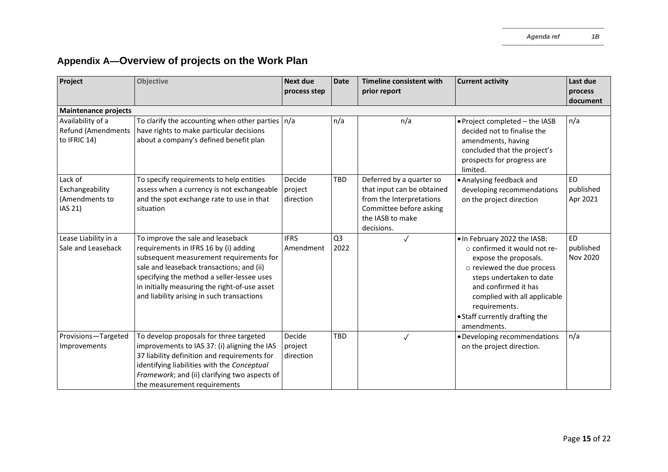| Project                                                        | <b>Objective</b>                                                                                                                                                                                                                                                                                                | <b>Next due</b><br>process step | <b>Date</b>            | <b>Timeline consistent with</b><br>prior report                                                                                                 | <b>Current activity</b>                                                                                                                                                                                                                                                         | Last due<br>process                |
|----------------------------------------------------------------|-----------------------------------------------------------------------------------------------------------------------------------------------------------------------------------------------------------------------------------------------------------------------------------------------------------------|---------------------------------|------------------------|-------------------------------------------------------------------------------------------------------------------------------------------------|---------------------------------------------------------------------------------------------------------------------------------------------------------------------------------------------------------------------------------------------------------------------------------|------------------------------------|
|                                                                |                                                                                                                                                                                                                                                                                                                 |                                 |                        |                                                                                                                                                 |                                                                                                                                                                                                                                                                                 | document                           |
| <b>Maintenance projects</b>                                    |                                                                                                                                                                                                                                                                                                                 |                                 |                        |                                                                                                                                                 |                                                                                                                                                                                                                                                                                 |                                    |
| Availability of a<br><b>Refund (Amendments</b><br>to IFRIC 14) | To clarify the accounting when other parties $n/a$<br>have rights to make particular decisions<br>about a company's defined benefit plan                                                                                                                                                                        |                                 | n/a                    | n/a                                                                                                                                             | . Project completed - the IASB<br>decided not to finalise the<br>amendments, having<br>concluded that the project's<br>prospects for progress are<br>limited.                                                                                                                   | n/a                                |
| Lack of<br>Exchangeability<br>(Amendments to<br>IAS 21)        | To specify requirements to help entities<br>assess when a currency is not exchangeable<br>and the spot exchange rate to use in that<br>situation                                                                                                                                                                | Decide<br>project<br>direction  | TBD                    | Deferred by a quarter so<br>that input can be obtained<br>from the Interpretations<br>Committee before asking<br>the IASB to make<br>decisions. | • Analysing feedback and<br>developing recommendations<br>on the project direction                                                                                                                                                                                              | <b>ED</b><br>published<br>Apr 2021 |
| Lease Liability in a<br>Sale and Leaseback                     | To improve the sale and leaseback<br>requirements in IFRS 16 by (i) adding<br>subsequent measurement requirements for<br>sale and leaseback transactions; and (ii)<br>specifying the method a seller-lessee uses<br>in initially measuring the right-of-use asset<br>and liability arising in such transactions | <b>IFRS</b><br>Amendment        | Q <sub>3</sub><br>2022 | $\checkmark$                                                                                                                                    | . In February 2022 the IASB:<br>$\circ$ confirmed it would not re-<br>expose the proposals.<br>o reviewed the due process<br>steps undertaken to date<br>and confirmed it has<br>complied with all applicable<br>requirements.<br>• Staff currently drafting the<br>amendments. | <b>ED</b><br>published<br>Nov 2020 |
| Provisions-Targeted<br>Improvements                            | To develop proposals for three targeted<br>improvements to IAS 37: (i) aligning the IAS<br>37 liability definition and requirements for<br>identifying liabilities with the Conceptual<br>Framework; and (ii) clarifying two aspects of<br>the measurement requirements                                         | Decide<br>project<br>direction  | <b>TBD</b>             | $\checkmark$                                                                                                                                    | • Developing recommendations<br>on the project direction.                                                                                                                                                                                                                       | n/a                                |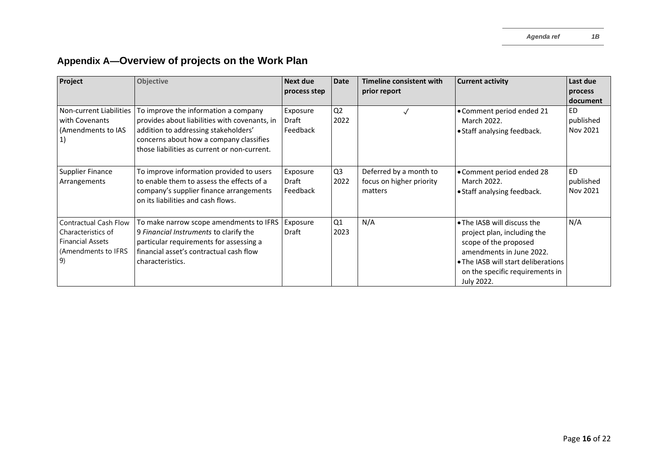| Project                                                                                             | Objective                                                                                                                                                                                                                | <b>Next due</b>               | <b>Date</b>            | Timeline consistent with                                      | <b>Current activity</b>                                                                                                                                                                                 | Last due                           |
|-----------------------------------------------------------------------------------------------------|--------------------------------------------------------------------------------------------------------------------------------------------------------------------------------------------------------------------------|-------------------------------|------------------------|---------------------------------------------------------------|---------------------------------------------------------------------------------------------------------------------------------------------------------------------------------------------------------|------------------------------------|
|                                                                                                     |                                                                                                                                                                                                                          | process step                  |                        | prior report                                                  |                                                                                                                                                                                                         | process<br>document                |
| <b>Non-current Liabilities</b><br>with Covenants<br>(Amendments to IAS                              | To improve the information a company<br>provides about liabilities with covenants, in<br>addition to addressing stakeholders'<br>concerns about how a company classifies<br>those liabilities as current or non-current. | Exposure<br>Draft<br>Feedback | Q <sub>2</sub><br>2022 |                                                               | • Comment period ended 21<br>March 2022.<br>• Staff analysing feedback.                                                                                                                                 | <b>ED</b><br>published<br>Nov 2021 |
| <b>Supplier Finance</b><br>Arrangements                                                             | To improve information provided to users<br>to enable them to assess the effects of a<br>company's supplier finance arrangements<br>on its liabilities and cash flows.                                                   | Exposure<br>Draft<br>Feedback | Q <sub>3</sub><br>2022 | Deferred by a month to<br>focus on higher priority<br>matters | • Comment period ended 28<br>March 2022.<br>• Staff analysing feedback.                                                                                                                                 | <b>ED</b><br>published<br>Nov 2021 |
| Contractual Cash Flow<br>Characteristics of<br><b>Financial Assets</b><br>(Amendments to IFRS<br>9) | To make narrow scope amendments to IFRS<br>9 Financial Instruments to clarify the<br>particular requirements for assessing a<br>financial asset's contractual cash flow<br>characteristics.                              | Exposure<br>Draft             | Q1<br>2023             | N/A                                                           | • The IASB will discuss the<br>project plan, including the<br>scope of the proposed<br>amendments in June 2022.<br>• The IASB will start deliberations<br>on the specific requirements in<br>July 2022. | N/A                                |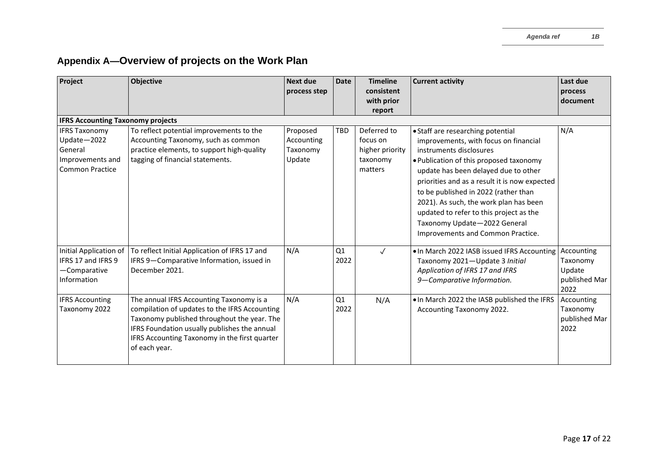| Project                                                                                      | Objective                                                                                                                                                                                                                                                  | <b>Next due</b><br>process step              | <b>Date</b> | <b>Timeline</b><br>consistent<br>with prior<br>report             | <b>Current activity</b>                                                                                                                                                                                                                                                                                                                                                                                                                     | Last due<br>process<br>document                           |
|----------------------------------------------------------------------------------------------|------------------------------------------------------------------------------------------------------------------------------------------------------------------------------------------------------------------------------------------------------------|----------------------------------------------|-------------|-------------------------------------------------------------------|---------------------------------------------------------------------------------------------------------------------------------------------------------------------------------------------------------------------------------------------------------------------------------------------------------------------------------------------------------------------------------------------------------------------------------------------|-----------------------------------------------------------|
| <b>IFRS Accounting Taxonomy projects</b>                                                     |                                                                                                                                                                                                                                                            |                                              |             |                                                                   |                                                                                                                                                                                                                                                                                                                                                                                                                                             |                                                           |
| <b>IFRS Taxonomy</b><br>Update-2022<br>General<br>Improvements and<br><b>Common Practice</b> | To reflect potential improvements to the<br>Accounting Taxonomy, such as common<br>practice elements, to support high-quality<br>tagging of financial statements.                                                                                          | Proposed<br>Accounting<br>Taxonomy<br>Update | <b>TBD</b>  | Deferred to<br>focus on<br>higher priority<br>taxonomy<br>matters | • Staff are researching potential<br>improvements, with focus on financial<br>instruments disclosures<br>. Publication of this proposed taxonomy<br>update has been delayed due to other<br>priorities and as a result it is now expected<br>to be published in 2022 (rather than<br>2021). As such, the work plan has been<br>updated to refer to this project as the<br>Taxonomy Update-2022 General<br>Improvements and Common Practice. | N/A                                                       |
| Initial Application of<br>IFRS 17 and IFRS 9<br>-Comparative<br>Information                  | To reflect Initial Application of IFRS 17 and<br>IFRS 9-Comparative Information, issued in<br>December 2021.                                                                                                                                               | N/A                                          | Q1<br>2022  | $\checkmark$                                                      | • In March 2022 IASB issued IFRS Accounting<br>Taxonomy 2021-Update 3 Initial<br>Application of IFRS 17 and IFRS<br>9-Comparative Information.                                                                                                                                                                                                                                                                                              | Accounting<br>Taxonomy<br>Update<br>published Mar<br>2022 |
| <b>IFRS Accounting</b><br>Taxonomy 2022                                                      | The annual IFRS Accounting Taxonomy is a<br>compilation of updates to the IFRS Accounting<br>Taxonomy published throughout the year. The<br>IFRS Foundation usually publishes the annual<br>IFRS Accounting Taxonomy in the first quarter<br>of each year. | N/A                                          | Q1<br>2022  | N/A                                                               | . In March 2022 the IASB published the IFRS<br>Accounting Taxonomy 2022.                                                                                                                                                                                                                                                                                                                                                                    | Accounting<br>Taxonomy<br>published Mar<br>2022           |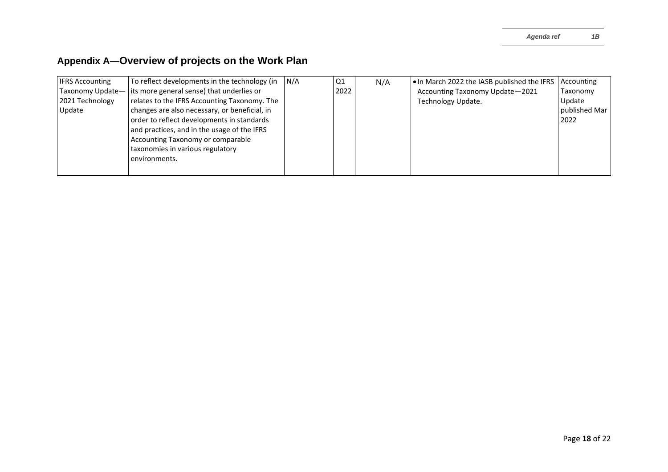| <b>IFRS Accounting</b> | To reflect developments in the technology (in              | N/A | Q1   | N/A | . In March 2022 the IASB published the IFRS | Accounting    |
|------------------------|------------------------------------------------------------|-----|------|-----|---------------------------------------------|---------------|
|                        | Taxonomy Update— its more general sense) that underlies or |     | 2022 |     | Accounting Taxonomy Update-2021             | Taxonomy      |
| 2021 Technology        | relates to the IFRS Accounting Taxonomy. The               |     |      |     | Technology Update.                          | Update        |
| Update                 | changes are also necessary, or beneficial, in              |     |      |     |                                             | published Mar |
|                        | order to reflect developments in standards                 |     |      |     |                                             | 2022          |
|                        | and practices, and in the usage of the IFRS                |     |      |     |                                             |               |
|                        | Accounting Taxonomy or comparable                          |     |      |     |                                             |               |
|                        | taxonomies in various regulatory                           |     |      |     |                                             |               |
|                        | environments.                                              |     |      |     |                                             |               |
|                        |                                                            |     |      |     |                                             |               |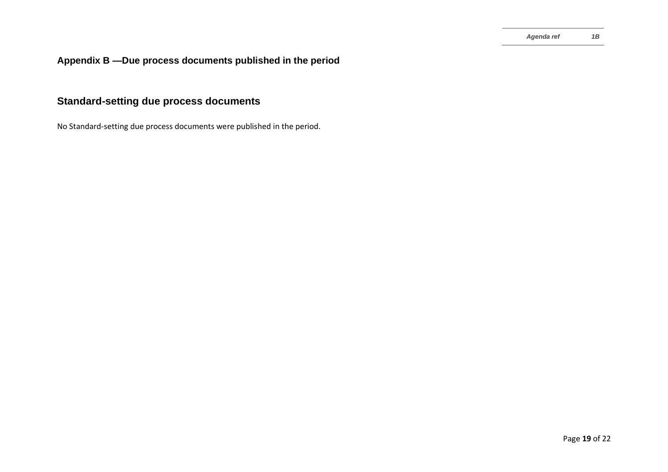## **Standard-setting due process documents**

No Standard-setting due process documents were published in the period.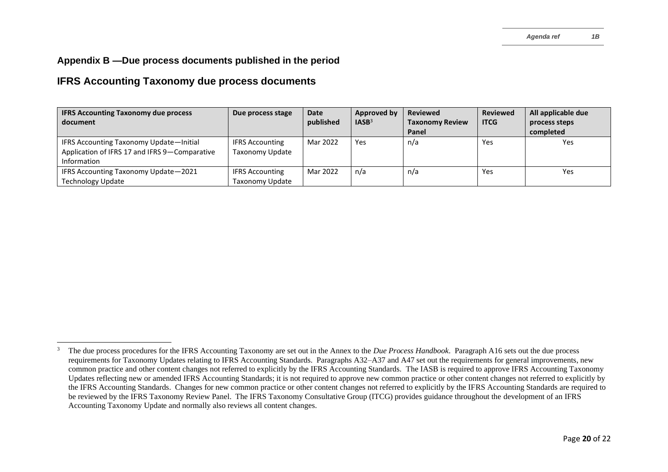#### **IFRS Accounting Taxonomy due process documents**

| <b>IFRS Accounting Taxonomy due process</b>   | Due process stage      | <b>Date</b> | Approved by       | <b>Reviewed</b>        | <b>Reviewed</b> | All applicable due |
|-----------------------------------------------|------------------------|-------------|-------------------|------------------------|-----------------|--------------------|
| document                                      |                        | published   | IASB <sup>3</sup> | <b>Taxonomy Review</b> | <b>ITCG</b>     | process steps      |
|                                               |                        |             |                   | Panel                  |                 | completed          |
| IFRS Accounting Taxonomy Update-Initial       | <b>IFRS Accounting</b> | Mar 2022    | Yes               | n/a                    | Yes             | <b>Yes</b>         |
| Application of IFRS 17 and IFRS 9-Comparative | <b>Taxonomy Update</b> |             |                   |                        |                 |                    |
| Information                                   |                        |             |                   |                        |                 |                    |
| IFRS Accounting Taxonomy Update-2021          | <b>IFRS Accounting</b> | Mar 2022    | n/a               | n/a                    | Yes             | Yes                |
| Technology Update                             | Taxonomy Update        |             |                   |                        |                 |                    |

<sup>3</sup> The due process procedures for the IFRS Accounting Taxonomy are set out in the Annex to the *Due Process Handbook*. Paragraph A16 sets out the due process requirements for Taxonomy Updates relating to IFRS Accounting Standards. Paragraphs A32–A37 and A47 set out the requirements for general improvements, new common practice and other content changes not referred to explicitly by the IFRS Accounting Standards. The IASB is required to approve IFRS Accounting Taxonomy Updates reflecting new or amended IFRS Accounting Standards; it is not required to approve new common practice or other content changes not referred to explicitly by the IFRS Accounting Standards. Changes for new common practice or other content changes not referred to explicitly by the IFRS Accounting Standards are required to be reviewed by the IFRS Taxonomy Review Panel. The IFRS Taxonomy Consultative Group (ITCG) provides guidance throughout the development of an IFRS Accounting Taxonomy Update and normally also reviews all content changes.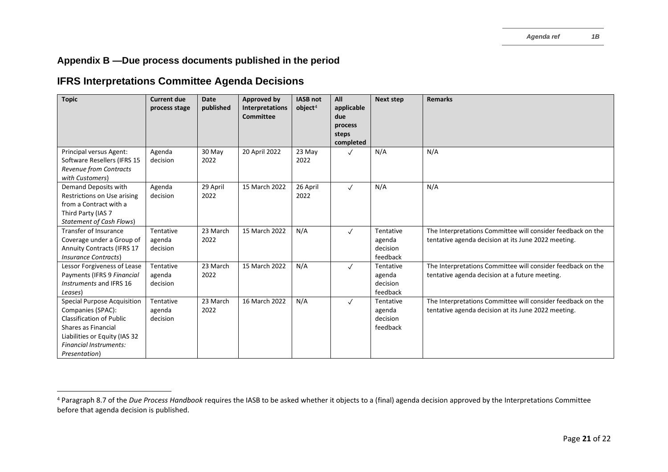### **IFRS Interpretations Committee Agenda Decisions**

| <b>Topic</b>                                                                                                                                                                                         | <b>Current due</b><br>process stage | <b>Date</b><br>published | <b>Approved by</b><br>Interpretations<br>Committee | <b>IASB not</b><br>object <sup>4</sup> | All<br>applicable<br>due<br>process<br>steps<br>completed | <b>Next step</b>                            | <b>Remarks</b>                                                                                                     |
|------------------------------------------------------------------------------------------------------------------------------------------------------------------------------------------------------|-------------------------------------|--------------------------|----------------------------------------------------|----------------------------------------|-----------------------------------------------------------|---------------------------------------------|--------------------------------------------------------------------------------------------------------------------|
| Principal versus Agent:<br>Software Resellers (IFRS 15<br>Revenue from Contracts<br>with Customers)                                                                                                  | Agenda<br>decision                  | 30 May<br>2022           | 20 April 2022                                      | 23 May<br>2022                         | $\checkmark$                                              | N/A                                         | N/A                                                                                                                |
| Demand Deposits with<br>Restrictions on Use arising<br>from a Contract with a<br>Third Party (IAS 7<br><b>Statement of Cash Flows)</b>                                                               | Agenda<br>decision                  | 29 April<br>2022         | 15 March 2022                                      | 26 April<br>2022                       | $\checkmark$                                              | N/A                                         | N/A                                                                                                                |
| <b>Transfer of Insurance</b><br>Coverage under a Group of<br><b>Annuity Contracts (IFRS 17</b><br><i><b>Insurance Contracts)</b></i>                                                                 | Tentative<br>agenda<br>decision     | 23 March<br>2022         | 15 March 2022                                      | N/A                                    | $\checkmark$                                              | Tentative<br>agenda<br>decision<br>feedback | The Interpretations Committee will consider feedback on the<br>tentative agenda decision at its June 2022 meeting. |
| Lessor Forgiveness of Lease<br>Payments (IFRS 9 Financial<br>Instruments and IFRS 16<br>Leases)                                                                                                      | Tentative<br>agenda<br>decision     | 23 March<br>2022         | 15 March 2022                                      | N/A                                    | $\checkmark$                                              | Tentative<br>agenda<br>decision<br>feedback | The Interpretations Committee will consider feedback on the<br>tentative agenda decision at a future meeting.      |
| <b>Special Purpose Acquisition</b><br>Companies (SPAC):<br><b>Classification of Public</b><br>Shares as Financial<br>Liabilities or Equity (IAS 32<br><b>Financial Instruments:</b><br>Presentation) | Tentative<br>agenda<br>decision     | 23 March<br>2022         | 16 March 2022                                      | N/A                                    | $\checkmark$                                              | Tentative<br>agenda<br>decision<br>feedback | The Interpretations Committee will consider feedback on the<br>tentative agenda decision at its June 2022 meeting. |

<sup>&</sup>lt;sup>4</sup> Paragraph 8.7 of the *Due Process Handbook* requires the IASB to be asked whether it objects to a (final) agenda decision approved by the Interpretations Committee before that agenda decision is published.